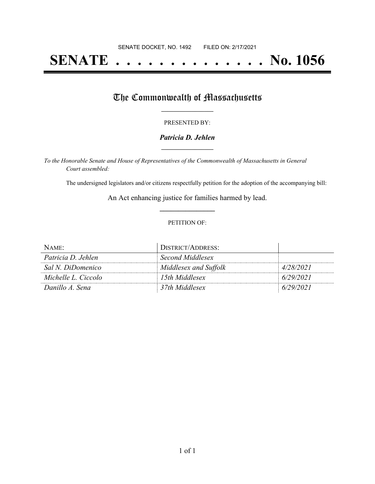# **SENATE . . . . . . . . . . . . . . No. 1056**

## The Commonwealth of Massachusetts

#### PRESENTED BY:

#### *Patricia D. Jehlen* **\_\_\_\_\_\_\_\_\_\_\_\_\_\_\_\_\_**

*To the Honorable Senate and House of Representatives of the Commonwealth of Massachusetts in General Court assembled:*

The undersigned legislators and/or citizens respectfully petition for the adoption of the accompanying bill:

An Act enhancing justice for families harmed by lead. **\_\_\_\_\_\_\_\_\_\_\_\_\_\_\_**

#### PETITION OF:

| NAME:               | <b>DISTRICT/ADDRESS:</b> |           |
|---------------------|--------------------------|-----------|
| Patricia D. Jehlen  | Second Middlesex         |           |
| Sal N. DiDomenico   | Middlesex and Suffolk    | 4/28/2021 |
| Michelle L. Ciccolo | 15th Middlesex           | 6/29/2021 |
| Danillo A. Sena     | 37th Middlesex           | 6/29/2021 |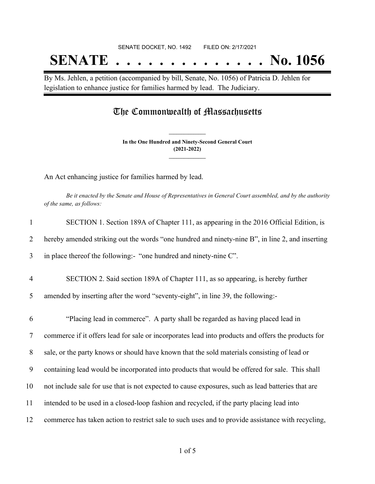# SENATE DOCKET, NO. 1492 FILED ON: 2/17/2021 **SENATE . . . . . . . . . . . . . . No. 1056**

By Ms. Jehlen, a petition (accompanied by bill, Senate, No. 1056) of Patricia D. Jehlen for legislation to enhance justice for families harmed by lead. The Judiciary.

### The Commonwealth of Massachusetts

**In the One Hundred and Ninety-Second General Court (2021-2022) \_\_\_\_\_\_\_\_\_\_\_\_\_\_\_**

**\_\_\_\_\_\_\_\_\_\_\_\_\_\_\_**

An Act enhancing justice for families harmed by lead.

Be it enacted by the Senate and House of Representatives in General Court assembled, and by the authority *of the same, as follows:*

| $\mathbf{1}$   | SECTION 1. Section 189A of Chapter 111, as appearing in the 2016 Official Edition, is              |
|----------------|----------------------------------------------------------------------------------------------------|
| 2              | hereby amended striking out the words "one hundred and ninety-nine B", in line 2, and inserting    |
| 3              | in place thereof the following:- "one hundred and ninety-nine C".                                  |
| $\overline{4}$ | SECTION 2. Said section 189A of Chapter 111, as so appearing, is hereby further                    |
| 5              | amended by inserting after the word "seventy-eight", in line 39, the following:-                   |
| 6              | "Placing lead in commerce". A party shall be regarded as having placed lead in                     |
| $\overline{7}$ | commerce if it offers lead for sale or incorporates lead into products and offers the products for |
| 8              | sale, or the party knows or should have known that the sold materials consisting of lead or        |
| 9              | containing lead would be incorporated into products that would be offered for sale. This shall     |
| 10             | not include sale for use that is not expected to cause exposures, such as lead batteries that are  |
| 11             | intended to be used in a closed-loop fashion and recycled, if the party placing lead into          |
| 12             | commerce has taken action to restrict sale to such uses and to provide assistance with recycling,  |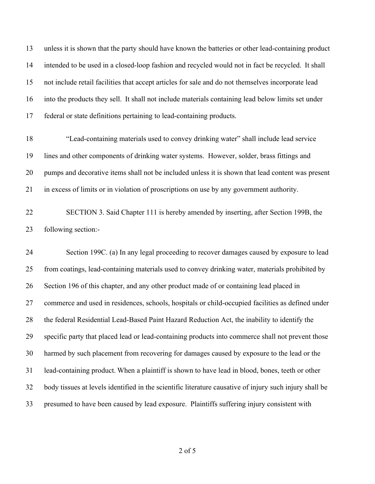unless it is shown that the party should have known the batteries or other lead-containing product intended to be used in a closed-loop fashion and recycled would not in fact be recycled.  It shall not include retail facilities that accept articles for sale and do not themselves incorporate lead into the products they sell.  It shall not include materials containing lead below limits set under federal or state definitions pertaining to lead-containing products. 

- "Lead-containing materials used to convey drinking water" shall include lead service lines and other components of drinking water systems. However, solder, brass fittings and pumps and decorative items shall not be included unless it is shown that lead content was present in excess of limits or in violation of proscriptions on use by any government authority.
- SECTION 3. Said Chapter 111 is hereby amended by inserting, after Section 199B, the following section:-

 Section 199C. (a) In any legal proceeding to recover damages caused by exposure to lead from coatings, lead-containing materials used to convey drinking water, materials prohibited by Section 196 of this chapter, and any other product made of or containing lead placed in commerce and used in residences, schools, hospitals or child-occupied facilities as defined under the federal Residential Lead-Based Paint Hazard Reduction Act, the inability to identify the specific party that placed lead or lead-containing products into commerce shall not prevent those harmed by such placement from recovering for damages caused by exposure to the lead or the lead-containing product. When a plaintiff is shown to have lead in blood, bones, teeth or other body tissues at levels identified in the scientific literature causative of injury such injury shall be presumed to have been caused by lead exposure. Plaintiffs suffering injury consistent with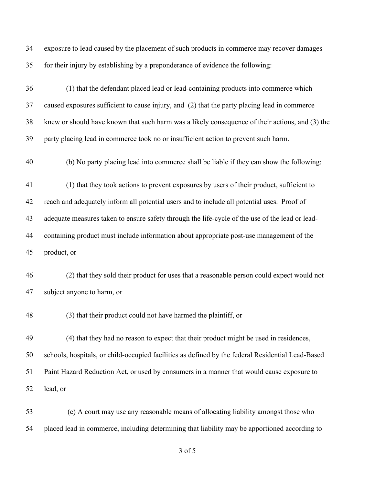| 34 | exposure to lead caused by the placement of such products in commerce may recover damages         |
|----|---------------------------------------------------------------------------------------------------|
| 35 | for their injury by establishing by a preponderance of evidence the following:                    |
| 36 | (1) that the defendant placed lead or lead-containing products into commerce which                |
| 37 | caused exposures sufficient to cause injury, and (2) that the party placing lead in commerce      |
| 38 | knew or should have known that such harm was a likely consequence of their actions, and (3) the   |
| 39 | party placing lead in commerce took no or insufficient action to prevent such harm.               |
| 40 | (b) No party placing lead into commerce shall be liable if they can show the following:           |
| 41 | (1) that they took actions to prevent exposures by users of their product, sufficient to          |
| 42 | reach and adequately inform all potential users and to include all potential uses. Proof of       |
| 43 | adequate measures taken to ensure safety through the life-cycle of the use of the lead or lead-   |
| 44 | containing product must include information about appropriate post-use management of the          |
| 45 | product, or                                                                                       |
| 46 | (2) that they sold their product for uses that a reasonable person could expect would not         |
| 47 | subject anyone to harm, or                                                                        |
| 48 | (3) that their product could not have harmed the plaintiff, or                                    |
| 49 | (4) that they had no reason to expect that their product might be used in residences,             |
| 50 | schools, hospitals, or child-occupied facilities as defined by the federal Residential Lead-Based |
| 51 | Paint Hazard Reduction Act, or used by consumers in a manner that would cause exposure to         |
| 52 | lead, or                                                                                          |
| 53 | (c) A court may use any reasonable means of allocating liability amongst those who                |
| 54 | placed lead in commerce, including determining that liability may be apportioned according to     |

of 5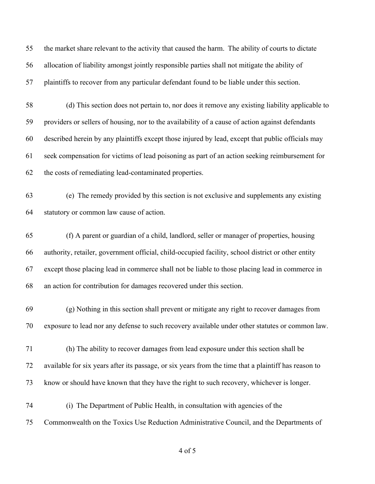the market share relevant to the activity that caused the harm.  The ability of courts to dictate allocation of liability amongst jointly responsible parties shall not mitigate the ability of plaintiffs to recover from any particular defendant found to be liable under this section.

 (d) This section does not pertain to, nor does it remove any existing liability applicable to providers or sellers of housing, nor to the availability of a cause of action against defendants described herein by any plaintiffs except those injured by lead, except that public officials may seek compensation for victims of lead poisoning as part of an action seeking reimbursement for the costs of remediating lead-contaminated properties. 

 (e)  The remedy provided by this section is not exclusive and supplements any existing statutory or common law cause of action. 

 (f) A parent or guardian of a child, landlord, seller or manager of properties, housing authority, retailer, government official, child-occupied facility, school district or other entity except those placing lead in commerce shall not be liable to those placing lead in commerce in an action for contribution for damages recovered under this section.

 (g) Nothing in this section shall prevent or mitigate any right to recover damages from exposure to lead nor any defense to such recovery available under other statutes or common law.

 (h) The ability to recover damages from lead exposure under this section shall be available for six years after its passage, or six years from the time that a plaintiff has reason to know or should have known that they have the right to such recovery, whichever is longer.

 (i)  The Department of Public Health, in consultation with agencies of the Commonwealth on the Toxics Use Reduction Administrative Council, and the Departments of

of 5